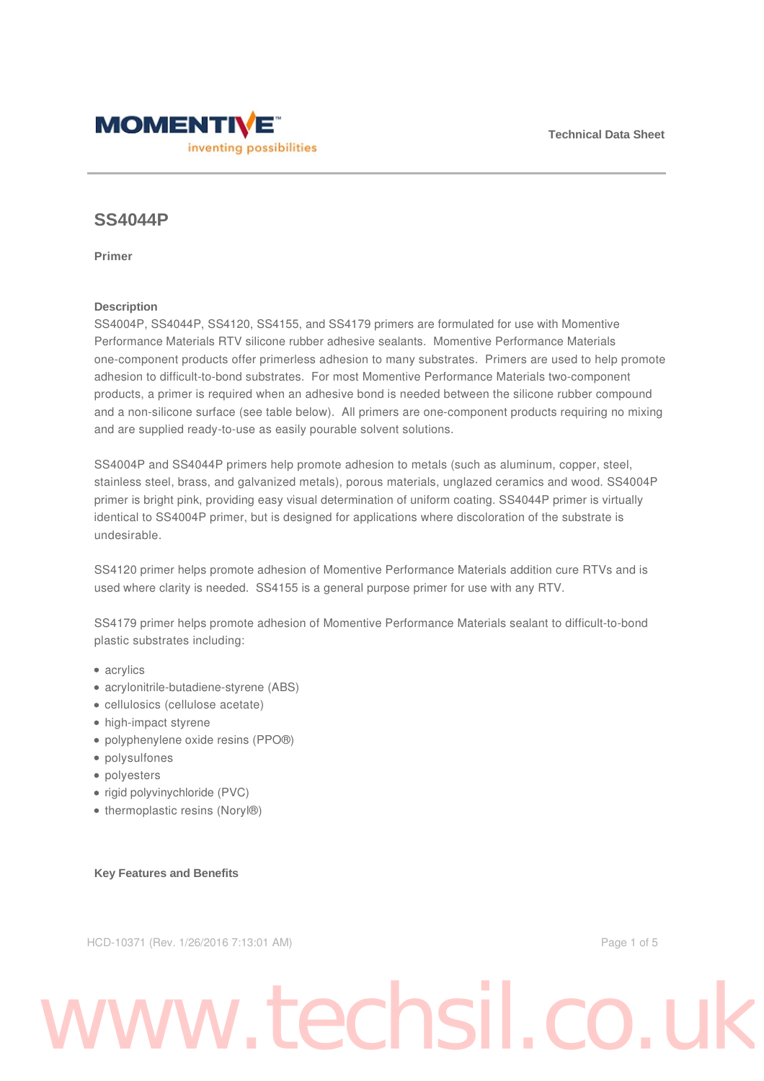

## **SS4044P**

**Primer**

## **Description**

SS4004P, SS4044P, SS4120, SS4155, and SS4179 primers are formulated for use with Momentive Performance Materials RTV silicone rubber adhesive sealants. Momentive Performance Materials one-component products offer primerless adhesion to many substrates. Primers are used to help promote adhesion to difficult-to-bond substrates. For most Momentive Performance Materials two-component products, a primer is required when an adhesive bond is needed between the silicone rubber compound and a non-silicone surface (see table below). All primers are one-component products requiring no mixing and are supplied ready-to-use as easily pourable solvent solutions.

SS4004P and SS4044P primers help promote adhesion to metals (such as aluminum, copper, steel, stainless steel, brass, and galvanized metals), porous materials, unglazed ceramics and wood. SS4004P primer is bright pink, providing easy visual determination of uniform coating. SS4044P primer is virtually identical to SS4004P primer, but is designed for applications where discoloration of the substrate is undesirable.

SS4120 primer helps promote adhesion of Momentive Performance Materials addition cure RTVs and is used where clarity is needed. SS4155 is a general purpose primer for use with any RTV.

SS4179 primer helps promote adhesion of Momentive Performance Materials sealant to difficult-to-bond plastic substrates including:

- acrylics
- acrylonitrile-butadiene-styrene (ABS)
- cellulosics (cellulose acetate)
- high-impact styrene
- polyphenylene oxide resins (PPO®)
- polysulfones
- polyesters
- rigid polyvinychloride (PVC)
- thermoplastic resins (Noryl®)

#### **Key Features and Benefits**

HCD-10371 (Rev. 1/26/2016 7:13:01 AM) Page 1 of 5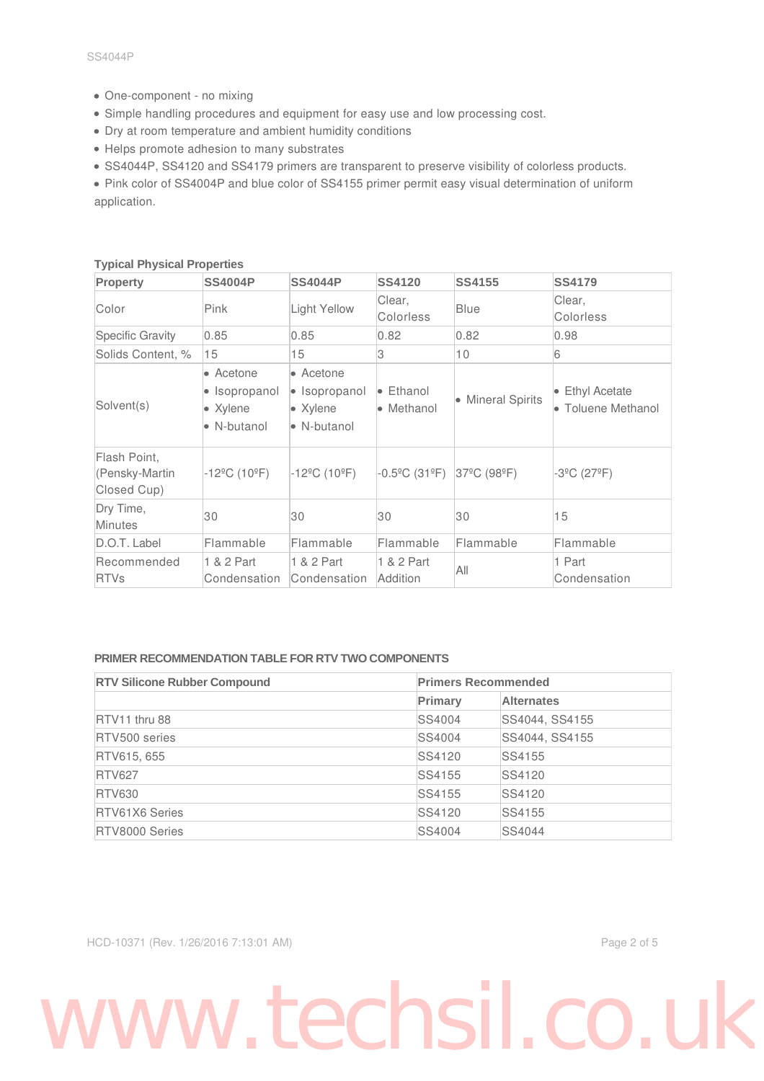- One-component no mixing
- Simple handling procedures and equipment for easy use and low processing cost.
- Dry at room temperature and ambient humidity conditions
- Helps promote adhesion to many substrates
- SS4044P, SS4120 and SS4179 primers are transparent to preserve visibility of colorless products.

Pink color of SS4004P and blue color of SS4155 primer permit easy visual determination of uniform application.

| <b>Property</b>                               | <b>SS4004P</b>                                        | <b>SS4044P</b>                                                | <b>SS4120</b>                           | <b>SS4155</b>     | <b>SS4179</b>                         |
|-----------------------------------------------|-------------------------------------------------------|---------------------------------------------------------------|-----------------------------------------|-------------------|---------------------------------------|
| Color                                         | Pink                                                  | <b>Light Yellow</b>                                           | Clear,<br>Colorless                     | Blue              | Clear,<br>Colorless                   |
| <b>Specific Gravity</b>                       | 0.85                                                  | 0.85                                                          | 0.82                                    | 0.82              | 0.98                                  |
| Solids Content, %                             | 15                                                    | 15                                                            | 3                                       | 10                | 6                                     |
| Solvent(s)                                    | • Acetone<br>• Isopropanol<br>• Xylene<br>• N-butanol | • Acetone<br>• Isopropanol<br>$\bullet$ Xylene<br>• N-butanol | $\bullet$ Ethanol<br>$\bullet$ Methanol | • Mineral Spirits | • Ethyl Acetate<br>• Toluene Methanol |
| Flash Point,<br>(Pensky-Martin<br>Closed Cup) | -12ºC (10ºF)                                          | $-12^{\circ}$ C (10 $^{\circ}$ F)                             | $-0.5^{\circ}$ C (31 $^{\circ}$ F)      | 37°C (98°F)       | $-3^{\circ}$ C (27 $^{\circ}$ F)      |
| Dry Time,<br><b>Minutes</b>                   | 30                                                    | 30                                                            | 30                                      | 30                | 15                                    |
| D.O.T. Label                                  | Flammable                                             | Flammable                                                     | Flammable                               | Flammable         | Flammable                             |
| Recommended<br><b>RTVs</b>                    | 1 & 2 Part<br>Condensation                            | 1 & 2 Part<br>Condensation                                    | 1 & 2 Part<br>Addition                  | All               | 1 Part<br>Condensation                |

### **Typical Physical Properties**

### **PRIMER RECOMMENDATION TABLE FOR RTV TWO COMPONENTS**

| <b>RTV Silicone Rubber Compound</b> | <b>Primers Recommended</b> |                   |  |
|-------------------------------------|----------------------------|-------------------|--|
|                                     | Primary                    | <b>Alternates</b> |  |
| RTV11 thru 88                       | SS4004                     | SS4044, SS4155    |  |
| RTV500 series                       | SS4004                     | SS4044, SS4155    |  |
| RTV615, 655                         | SS4120                     | SS4155            |  |
| <b>RTV627</b>                       | SS4155                     | SS4120            |  |
| <b>RTV630</b>                       | SS4155                     | SS4120            |  |
| <b>RTV61X6 Series</b>               | SS4120                     | SS4155            |  |
| RTV8000 Series                      | SS4004                     | <b>SS4044</b>     |  |

HCD-10371 (Rev. 1/26/2016 7:13:01 AM) Page 2 of 5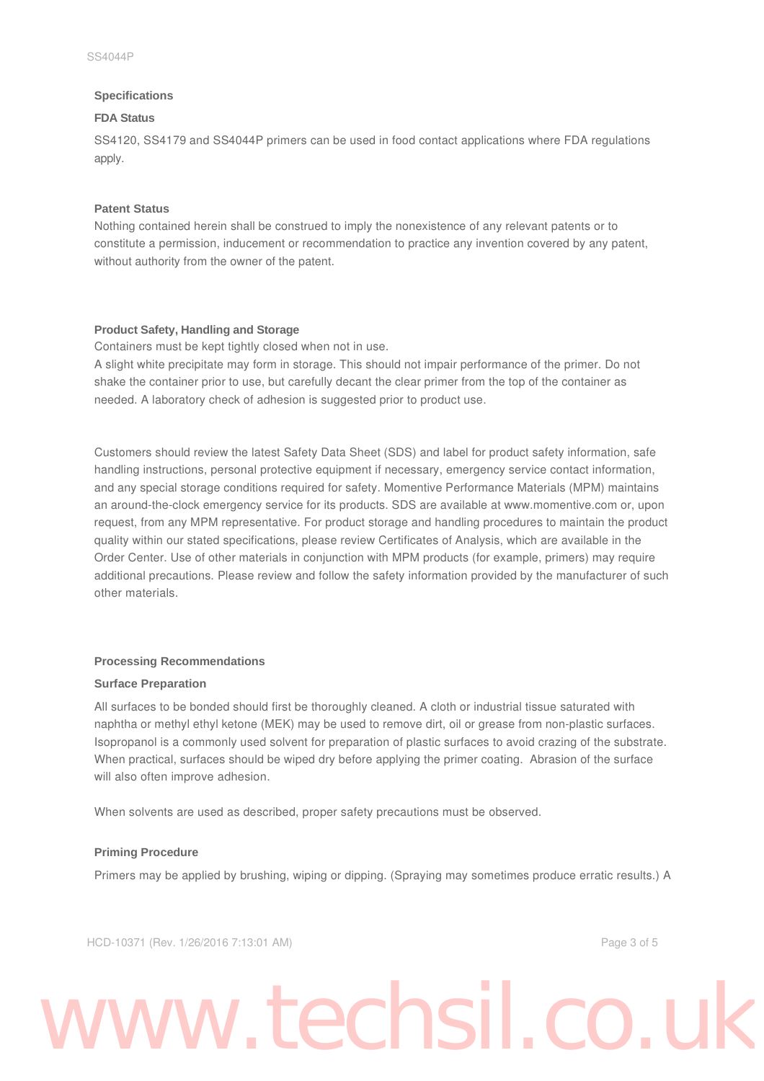#### **Specifications**

#### **FDA Status**

SS4120, SS4179 and SS4044P primers can be used in food contact applications where FDA regulations apply.

#### **Patent Status**

Nothing contained herein shall be construed to imply the nonexistence of any relevant patents or to constitute a permission, inducement or recommendation to practice any invention covered by any patent, without authority from the owner of the patent.

#### **Product Safety, Handling and Storage**

Containers must be kept tightly closed when not in use.

A slight white precipitate may form in storage. This should not impair performance of the primer. Do not shake the container prior to use, but carefully decant the clear primer from the top of the container as needed. A laboratory check of adhesion is suggested prior to product use.

Customers should review the latest Safety Data Sheet (SDS) and label for product safety information, safe handling instructions, personal protective equipment if necessary, emergency service contact information, and any special storage conditions required for safety. Momentive Performance Materials (MPM) maintains an around-the-clock emergency service for its products. SDS are available at www.momentive.com or, upon request, from any MPM representative. For product storage and handling procedures to maintain the product quality within our stated specifications, please review Certificates of Analysis, which are available in the Order Center. Use of other materials in conjunction with MPM products (for example, primers) may require additional precautions. Please review and follow the safety information provided by the manufacturer of such other materials.

#### **Processing Recommendations**

#### **Surface Preparation**

All surfaces to be bonded should first be thoroughly cleaned. A cloth or industrial tissue saturated with naphtha or methyl ethyl ketone (MEK) may be used to remove dirt, oil or grease from non-plastic surfaces. Isopropanol is a commonly used solvent for preparation of plastic surfaces to avoid crazing of the substrate. When practical, surfaces should be wiped dry before applying the primer coating. Abrasion of the surface will also often improve adhesion.

When solvents are used as described, proper safety precautions must be observed.

#### **Priming Procedure**

Primers may be applied by brushing, wiping or dipping. (Spraying may sometimes produce erratic results.) A

HCD-10371 (Rev. 1/26/2016 7:13:01 AM) Page 3 of 5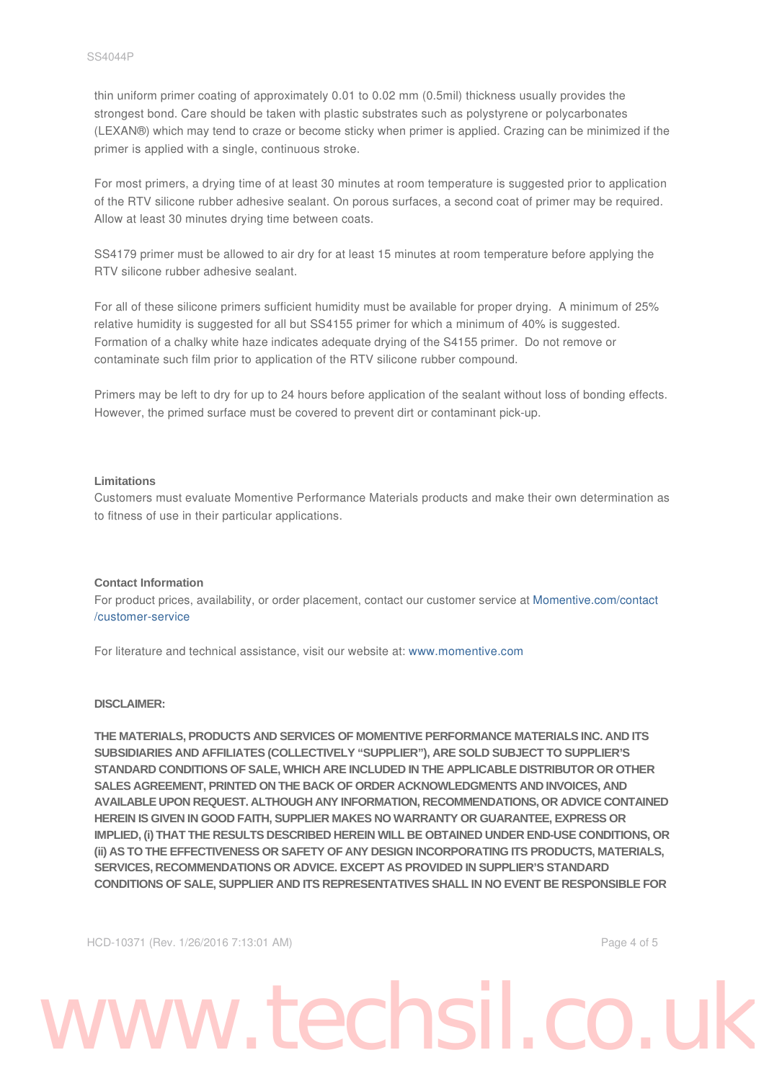thin uniform primer coating of approximately 0.01 to 0.02 mm (0.5mil) thickness usually provides the strongest bond. Care should be taken with plastic substrates such as polystyrene or polycarbonates (LEXAN®) which may tend to craze or become sticky when primer is applied. Crazing can be minimized if the primer is applied with a single, continuous stroke.

For most primers, a drying time of at least 30 minutes at room temperature is suggested prior to application of the RTV silicone rubber adhesive sealant. On porous surfaces, a second coat of primer may be required. Allow at least 30 minutes drying time between coats.

SS4179 primer must be allowed to air dry for at least 15 minutes at room temperature before applying the RTV silicone rubber adhesive sealant.

For all of these silicone primers sufficient humidity must be available for proper drying. A minimum of 25% relative humidity is suggested for all but SS4155 primer for which a minimum of 40% is suggested. Formation of a chalky white haze indicates adequate drying of the S4155 primer. Do not remove or contaminate such film prior to application of the RTV silicone rubber compound.

Primers may be left to dry for up to 24 hours before application of the sealant without loss of bonding effects. However, the primed surface must be covered to prevent dirt or contaminant pick-up.

#### **Limitations**

Customers must evaluate Momentive Performance Materials products and make their own determination as to fitness of use in their particular applications.

#### **Contact Information**

For product prices, availability, or order placement, contact our customer service at Momentive.com/contact /customer-service

For literature and technical assistance, visit our website at: www.momentive.com

#### **DISCLAIMER:**

**THE MATERIALS, PRODUCTS AND SERVICES OF MOMENTIVE PERFORMANCE MATERIALS INC. AND ITS SUBSIDIARIES AND AFFILIATES (COLLECTIVELY "SUPPLIER"), ARE SOLD SUBJECT TO SUPPLIER'S STANDARD CONDITIONS OF SALE, WHICH ARE INCLUDED IN THE APPLICABLE DISTRIBUTOR OR OTHER SALES AGREEMENT, PRINTED ON THE BACK OF ORDER ACKNOWLEDGMENTS AND INVOICES, AND AVAILABLE UPON REQUEST. ALTHOUGH ANY INFORMATION, RECOMMENDATIONS, OR ADVICE CONTAINED HEREIN IS GIVEN IN GOOD FAITH, SUPPLIER MAKES NO WARRANTY OR GUARANTEE, EXPRESS OR IMPLIED, (i) THAT THE RESULTS DESCRIBED HEREIN WILL BE OBTAINED UNDER END-USE CONDITIONS, OR (ii) AS TO THE EFFECTIVENESS OR SAFETY OF ANY DESIGN INCORPORATING ITS PRODUCTS, MATERIALS, SERVICES, RECOMMENDATIONS OR ADVICE. EXCEPT AS PROVIDED IN SUPPLIER'S STANDARD CONDITIONS OF SALE, SUPPLIER AND ITS REPRESENTATIVES SHALL IN NO EVENT BE RESPONSIBLE FOR**

HCD-10371 (Rev. 1/26/2016 7:13:01 AM) Page 4 of 5